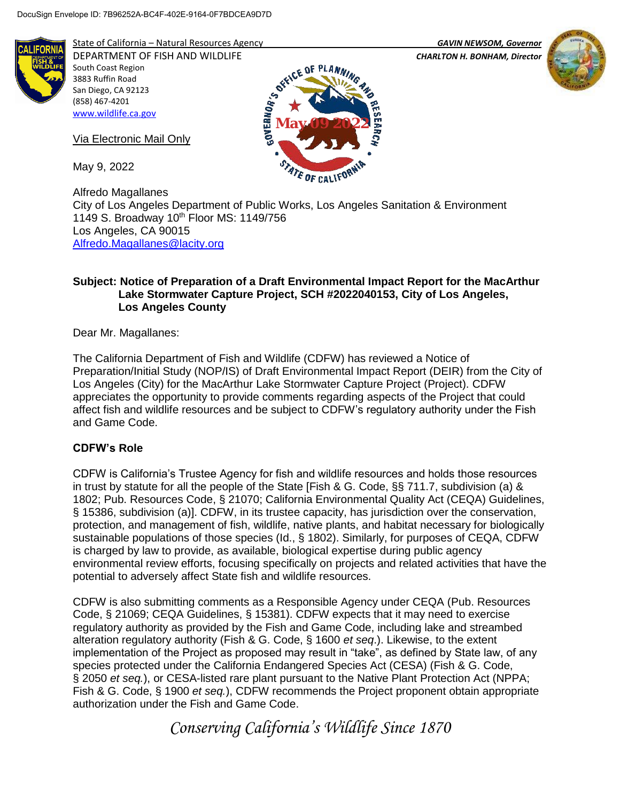

State of California – Natural Resources Agency *GAVIN NEWSOM, Governor*

DEPARTMENT OF FISH AND WILDLIFE *CHARLTON H. BONHAM, Director* 



South Coast Region 3883 Ruffin Road San Diego, CA 92123 (858) 467-4201 [www.wildlife.ca.gov](http://www.wildlife.ca.gov/)

Via Electronic Mail Only

May 9, 2022



Alfredo Magallanes City of Los Angeles Department of Public Works, Los Angeles Sanitation & Environment 1149 S. Broadway 10<sup>th</sup> Floor MS: 1149/756 Los Angeles, CA 90015 [Alfredo.Magallanes@lacity.org](mailto:Alfredo.Magallanes@lacity.org)

## **Subject: Notice of Preparation of a Draft Environmental Impact Report for the MacArthur Lake Stormwater Capture Project, SCH #2022040153, City of Los Angeles, Los Angeles County**

Dear Mr. Magallanes:

The California Department of Fish and Wildlife (CDFW) has reviewed a Notice of Preparation/Initial Study (NOP/IS) of Draft Environmental Impact Report (DEIR) from the City of Los Angeles (City) for the MacArthur Lake Stormwater Capture Project (Project). CDFW appreciates the opportunity to provide comments regarding aspects of the Project that could affect fish and wildlife resources and be subject to CDFW's regulatory authority under the Fish and Game Code.

# **CDFW's Role**

CDFW is California's Trustee Agency for fish and wildlife resources and holds those resources in trust by statute for all the people of the State [Fish & G. Code, §§ 711.7, subdivision (a) & 1802; Pub. Resources Code, § 21070; California Environmental Quality Act (CEQA) Guidelines, § 15386, subdivision (a)]. CDFW, in its trustee capacity, has jurisdiction over the conservation, protection, and management of fish, wildlife, native plants, and habitat necessary for biologically sustainable populations of those species (Id., § 1802). Similarly, for purposes of CEQA, CDFW is charged by law to provide, as available, biological expertise during public agency environmental review efforts, focusing specifically on projects and related activities that have the potential to adversely affect State fish and wildlife resources.

CDFW is also submitting comments as a Responsible Agency under CEQA (Pub. Resources Code, § 21069; CEQA Guidelines, § 15381). CDFW expects that it may need to exercise regulatory authority as provided by the Fish and Game Code, including lake and streambed alteration regulatory authority (Fish & G. Code, § 1600 *et seq*.). Likewise, to the extent implementation of the Project as proposed may result in "take", as defined by State law, of any species protected under the California Endangered Species Act (CESA) (Fish & G. Code, § 2050 *et seq.*), or CESA-listed rare plant pursuant to the Native Plant Protection Act (NPPA; Fish & G. Code, § 1900 *et seq.*), CDFW recommends the Project proponent obtain appropriate authorization under the Fish and Game Code.

*Conserving California's Wildlife Since 1870*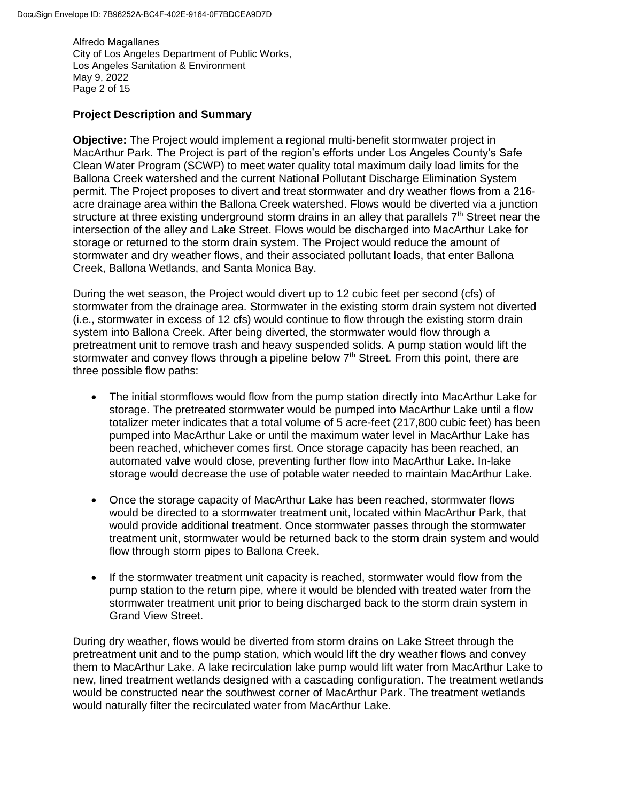Alfredo Magallanes City of Los Angeles Department of Public Works, Los Angeles Sanitation & Environment May 9, 2022 Page 2 of 15

#### **Project Description and Summary**

**Objective:** The Project would implement a regional multi-benefit stormwater project in MacArthur Park. The Project is part of the region's efforts under Los Angeles County's Safe Clean Water Program (SCWP) to meet water quality total maximum daily load limits for the Ballona Creek watershed and the current National Pollutant Discharge Elimination System permit. The Project proposes to divert and treat stormwater and dry weather flows from a 216 acre drainage area within the Ballona Creek watershed. Flows would be diverted via a junction structure at three existing underground storm drains in an alley that parallels  $7<sup>th</sup>$  Street near the intersection of the alley and Lake Street. Flows would be discharged into MacArthur Lake for storage or returned to the storm drain system. The Project would reduce the amount of stormwater and dry weather flows, and their associated pollutant loads, that enter Ballona Creek, Ballona Wetlands, and Santa Monica Bay.

During the wet season, the Project would divert up to 12 cubic feet per second (cfs) of stormwater from the drainage area. Stormwater in the existing storm drain system not diverted (i.e., stormwater in excess of 12 cfs) would continue to flow through the existing storm drain system into Ballona Creek. After being diverted, the stormwater would flow through a pretreatment unit to remove trash and heavy suspended solids. A pump station would lift the stormwater and convey flows through a pipeline below  $7<sup>th</sup>$  Street. From this point, there are three possible flow paths:

- The initial stormflows would flow from the pump station directly into MacArthur Lake for storage. The pretreated stormwater would be pumped into MacArthur Lake until a flow totalizer meter indicates that a total volume of 5 acre-feet (217,800 cubic feet) has been pumped into MacArthur Lake or until the maximum water level in MacArthur Lake has been reached, whichever comes first. Once storage capacity has been reached, an automated valve would close, preventing further flow into MacArthur Lake. In-lake storage would decrease the use of potable water needed to maintain MacArthur Lake.
- Once the storage capacity of MacArthur Lake has been reached, stormwater flows would be directed to a stormwater treatment unit, located within MacArthur Park, that would provide additional treatment. Once stormwater passes through the stormwater treatment unit, stormwater would be returned back to the storm drain system and would flow through storm pipes to Ballona Creek.
- If the stormwater treatment unit capacity is reached, stormwater would flow from the pump station to the return pipe, where it would be blended with treated water from the stormwater treatment unit prior to being discharged back to the storm drain system in Grand View Street.

During dry weather, flows would be diverted from storm drains on Lake Street through the pretreatment unit and to the pump station, which would lift the dry weather flows and convey them to MacArthur Lake. A lake recirculation lake pump would lift water from MacArthur Lake to new, lined treatment wetlands designed with a cascading configuration. The treatment wetlands would be constructed near the southwest corner of MacArthur Park. The treatment wetlands would naturally filter the recirculated water from MacArthur Lake.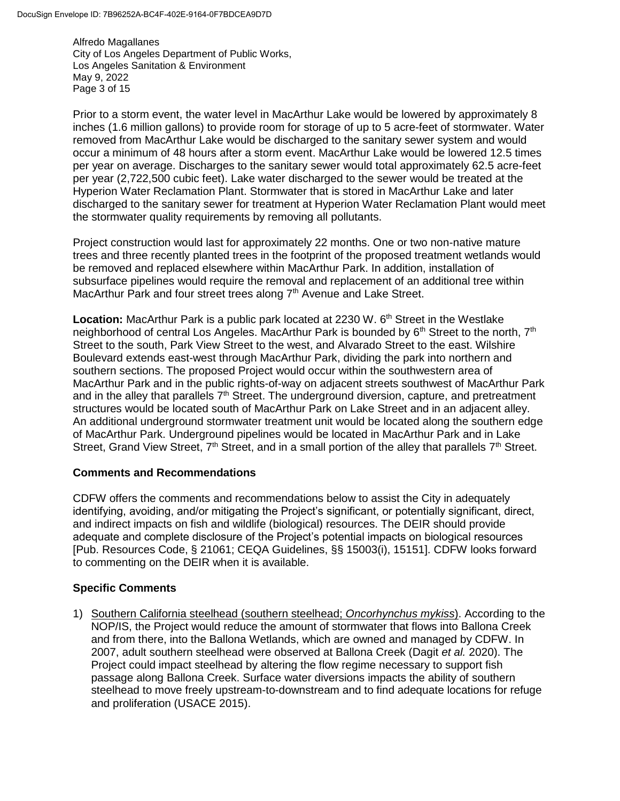Alfredo Magallanes City of Los Angeles Department of Public Works, Los Angeles Sanitation & Environment May 9, 2022 Page 3 of 15

Prior to a storm event, the water level in MacArthur Lake would be lowered by approximately 8 inches (1.6 million gallons) to provide room for storage of up to 5 acre-feet of stormwater. Water removed from MacArthur Lake would be discharged to the sanitary sewer system and would occur a minimum of 48 hours after a storm event. MacArthur Lake would be lowered 12.5 times per year on average. Discharges to the sanitary sewer would total approximately 62.5 acre-feet per year (2,722,500 cubic feet). Lake water discharged to the sewer would be treated at the Hyperion Water Reclamation Plant. Stormwater that is stored in MacArthur Lake and later discharged to the sanitary sewer for treatment at Hyperion Water Reclamation Plant would meet the stormwater quality requirements by removing all pollutants.

Project construction would last for approximately 22 months. One or two non-native mature trees and three recently planted trees in the footprint of the proposed treatment wetlands would be removed and replaced elsewhere within MacArthur Park. In addition, installation of subsurface pipelines would require the removal and replacement of an additional tree within MacArthur Park and four street trees along 7<sup>th</sup> Avenue and Lake Street.

**Location:** MacArthur Park is a public park located at 2230 W. 6<sup>th</sup> Street in the Westlake neighborhood of central Los Angeles. MacArthur Park is bounded by  $6<sup>th</sup>$  Street to the north,  $7<sup>th</sup>$ Street to the south, Park View Street to the west, and Alvarado Street to the east. Wilshire Boulevard extends east-west through MacArthur Park, dividing the park into northern and southern sections. The proposed Project would occur within the southwestern area of MacArthur Park and in the public rights-of-way on adjacent streets southwest of MacArthur Park and in the alley that parallels  $7<sup>th</sup>$  Street. The underground diversion, capture, and pretreatment structures would be located south of MacArthur Park on Lake Street and in an adjacent alley. An additional underground stormwater treatment unit would be located along the southern edge of MacArthur Park. Underground pipelines would be located in MacArthur Park and in Lake Street, Grand View Street,  $7<sup>th</sup>$  Street, and in a small portion of the alley that parallels  $7<sup>th</sup>$  Street.

#### **Comments and Recommendations**

CDFW offers the comments and recommendations below to assist the City in adequately identifying, avoiding, and/or mitigating the Project's significant, or potentially significant, direct, and indirect impacts on fish and wildlife (biological) resources. The DEIR should provide adequate and complete disclosure of the Project's potential impacts on biological resources [Pub. Resources Code, § 21061; CEQA Guidelines, §§ 15003(i), 15151]. CDFW looks forward to commenting on the DEIR when it is available.

## **Specific Comments**

1) Southern California steelhead (southern steelhead; *Oncorhynchus mykiss*). According to the NOP/IS, the Project would reduce the amount of stormwater that flows into Ballona Creek and from there, into the Ballona Wetlands, which are owned and managed by CDFW. In 2007, adult southern steelhead were observed at Ballona Creek (Dagit *et al.* 2020). The Project could impact steelhead by altering the flow regime necessary to support fish passage along Ballona Creek. Surface water diversions impacts the ability of southern steelhead to move freely upstream-to-downstream and to find adequate locations for refuge and proliferation (USACE 2015).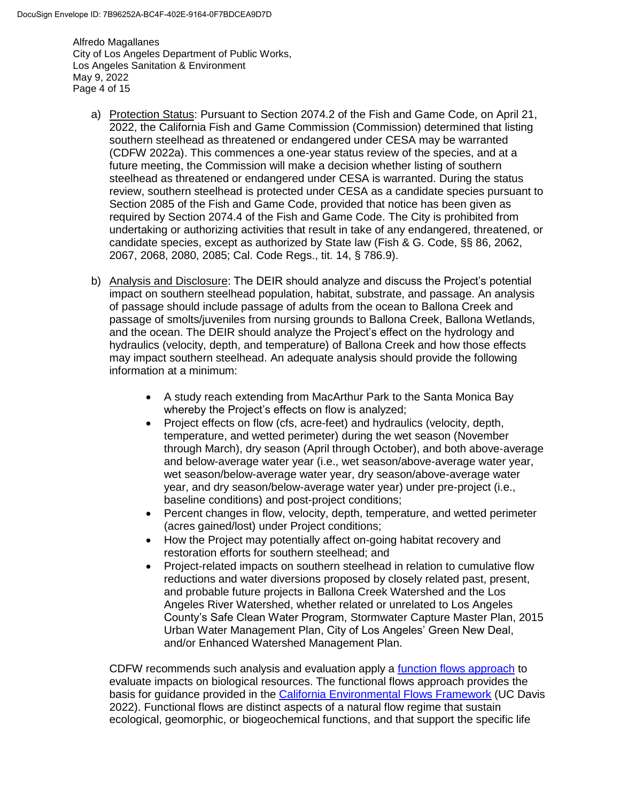Alfredo Magallanes City of Los Angeles Department of Public Works, Los Angeles Sanitation & Environment May 9, 2022 Page 4 of 15

- a) Protection Status: Pursuant to Section 2074.2 of the Fish and Game Code, on April 21, 2022, the California Fish and Game Commission (Commission) determined that listing southern steelhead as threatened or endangered under CESA may be warranted (CDFW 2022a). This commences a one-year status review of the species, and at a future meeting, the Commission will make a decision whether listing of southern steelhead as threatened or endangered under CESA is warranted. During the status review, southern steelhead is protected under CESA as a candidate species pursuant to Section 2085 of the Fish and Game Code, provided that notice has been given as required by Section 2074.4 of the Fish and Game Code. The City is prohibited from undertaking or authorizing activities that result in take of any endangered, threatened, or candidate species, except as authorized by State law (Fish & G. Code, §§ 86, 2062, 2067, 2068, 2080, 2085; Cal. Code Regs., tit. 14, § 786.9).
- b) Analysis and Disclosure: The DEIR should analyze and discuss the Project's potential impact on southern steelhead population, habitat, substrate, and passage. An analysis of passage should include passage of adults from the ocean to Ballona Creek and passage of smolts/juveniles from nursing grounds to Ballona Creek, Ballona Wetlands, and the ocean. The DEIR should analyze the Project's effect on the hydrology and hydraulics (velocity, depth, and temperature) of Ballona Creek and how those effects may impact southern steelhead. An adequate analysis should provide the following information at a minimum:
	- A study reach extending from MacArthur Park to the Santa Monica Bay whereby the Project's effects on flow is analyzed;
	- Project effects on flow (cfs, acre-feet) and hydraulics (velocity, depth, temperature, and wetted perimeter) during the wet season (November through March), dry season (April through October), and both above-average and below-average water year (i.e., wet season/above-average water year, wet season/below-average water year, dry season/above-average water year, and dry season/below-average water year) under pre-project (i.e., baseline conditions) and post-project conditions;
	- Percent changes in flow, velocity, depth, temperature, and wetted perimeter (acres gained/lost) under Project conditions;
	- How the Project may potentially affect on-going habitat recovery and restoration efforts for southern steelhead; and
	- Project-related impacts on southern steelhead in relation to cumulative flow reductions and water diversions proposed by closely related past, present, and probable future projects in Ballona Creek Watershed and the Los Angeles River Watershed, whether related or unrelated to Los Angeles County's Safe Clean Water Program, Stormwater Capture Master Plan, 2015 Urban Water Management Plan, City of Los Angeles' Green New Deal, and/or Enhanced Watershed Management Plan.

CDFW recommends such analysis and evaluation apply a [function flows approach](https://ceff.ucdavis.edu/functional-flows-approach) to evaluate impacts on biological resources. The functional flows approach provides the basis for guidance provided in the [California Environmental Flows Framework](https://ceff.ucdavis.edu/) (UC Davis 2022). Functional flows are distinct aspects of a natural flow regime that sustain ecological, geomorphic, or biogeochemical functions, and that support the specific life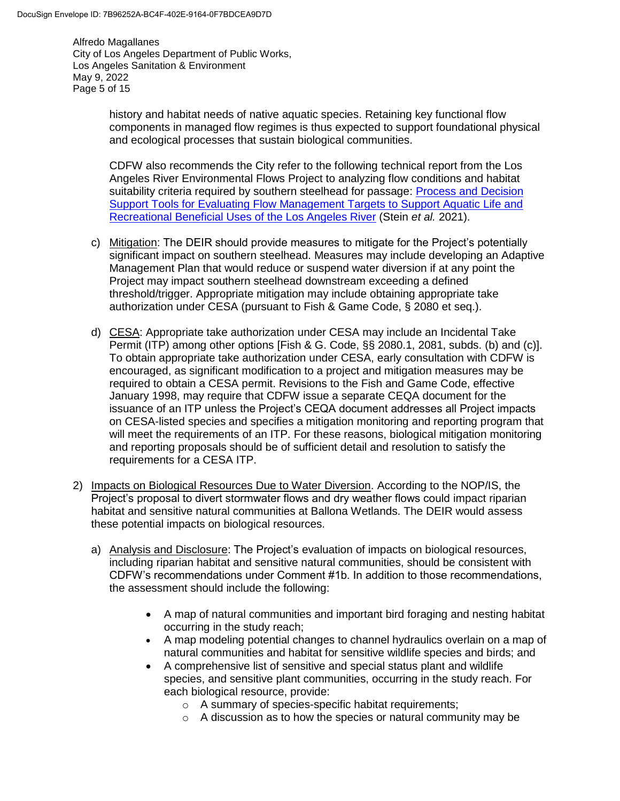Alfredo Magallanes City of Los Angeles Department of Public Works, Los Angeles Sanitation & Environment May 9, 2022 Page 5 of 15

> history and habitat needs of native aquatic species. Retaining key functional flow components in managed flow regimes is thus expected to support foundational physical and ecological processes that sustain biological communities.

CDFW also recommends the City refer to the following technical report from the Los Angeles River Environmental Flows Project to analyzing flow conditions and habitat suitability criteria required by southern steelhead for passage: [Process and Decision](https://www.sccwrp.org/about/research-areas/ecohydrology/los-angeles-river-flows-project/)  [Support Tools for Evaluating Flow Management Targets to Support Aquatic Life and](https://www.sccwrp.org/about/research-areas/ecohydrology/los-angeles-river-flows-project/)  [Recreational Beneficial Uses of the Los Angeles River](https://www.sccwrp.org/about/research-areas/ecohydrology/los-angeles-river-flows-project/) (Stein *et al.* 2021).

- c) Mitigation: The DEIR should provide measures to mitigate for the Project's potentially significant impact on southern steelhead. Measures may include developing an Adaptive Management Plan that would reduce or suspend water diversion if at any point the Project may impact southern steelhead downstream exceeding a defined threshold/trigger. Appropriate mitigation may include obtaining appropriate take authorization under CESA (pursuant to Fish & Game Code, § 2080 et seq.).
- d) CESA: Appropriate take authorization under CESA may include an Incidental Take Permit (ITP) among other options [Fish & G. Code, §§ 2080.1, 2081, subds. (b) and (c)]. To obtain appropriate take authorization under CESA, early consultation with CDFW is encouraged, as significant modification to a project and mitigation measures may be required to obtain a CESA permit. Revisions to the Fish and Game Code, effective January 1998, may require that CDFW issue a separate CEQA document for the issuance of an ITP unless the Project's CEQA document addresses all Project impacts on CESA-listed species and specifies a mitigation monitoring and reporting program that will meet the requirements of an ITP. For these reasons, biological mitigation monitoring and reporting proposals should be of sufficient detail and resolution to satisfy the requirements for a CESA ITP.
- 2) Impacts on Biological Resources Due to Water Diversion. According to the NOP/IS, the Project's proposal to divert stormwater flows and dry weather flows could impact riparian habitat and sensitive natural communities at Ballona Wetlands. The DEIR would assess these potential impacts on biological resources.
	- a) Analysis and Disclosure: The Project's evaluation of impacts on biological resources, including riparian habitat and sensitive natural communities, should be consistent with CDFW's recommendations under Comment #1b. In addition to those recommendations, the assessment should include the following:
		- A map of natural communities and important bird foraging and nesting habitat occurring in the study reach;
		- A map modeling potential changes to channel hydraulics overlain on a map of natural communities and habitat for sensitive wildlife species and birds; and
		- A comprehensive list of sensitive and special status plant and wildlife species, and sensitive plant communities, occurring in the study reach. For each biological resource, provide:
			- o A summary of species-specific habitat requirements;
			- o A discussion as to how the species or natural community may be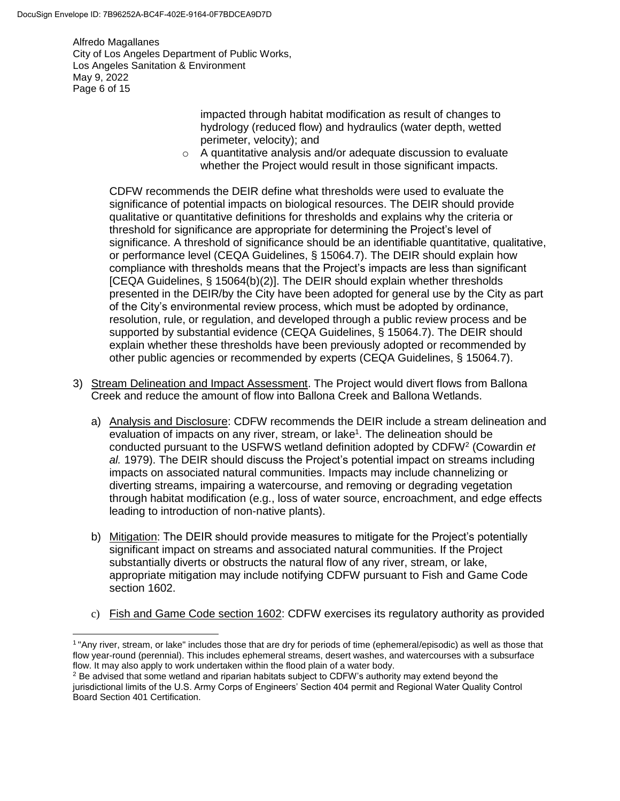$\overline{\phantom{a}}$ 

Alfredo Magallanes City of Los Angeles Department of Public Works, Los Angeles Sanitation & Environment May 9, 2022 Page 6 of 15

> impacted through habitat modification as result of changes to hydrology (reduced flow) and hydraulics (water depth, wetted perimeter, velocity); and

o A quantitative analysis and/or adequate discussion to evaluate whether the Project would result in those significant impacts.

CDFW recommends the DEIR define what thresholds were used to evaluate the significance of potential impacts on biological resources. The DEIR should provide qualitative or quantitative definitions for thresholds and explains why the criteria or threshold for significance are appropriate for determining the Project's level of significance. A threshold of significance should be an identifiable quantitative, qualitative, or performance level (CEQA Guidelines, § 15064.7). The DEIR should explain how compliance with thresholds means that the Project's impacts are less than significant [CEQA Guidelines, § 15064(b)(2)]. The DEIR should explain whether thresholds presented in the DEIR/by the City have been adopted for general use by the City as part of the City's environmental review process, which must be adopted by ordinance, resolution, rule, or regulation, and developed through a public review process and be supported by substantial evidence (CEQA Guidelines, § 15064.7). The DEIR should explain whether these thresholds have been previously adopted or recommended by other public agencies or recommended by experts (CEQA Guidelines, § 15064.7).

- 3) Stream Delineation and Impact Assessment. The Project would divert flows from Ballona Creek and reduce the amount of flow into Ballona Creek and Ballona Wetlands.
	- a) Analysis and Disclosure: CDFW recommends the DEIR include a stream delineation and evaluation of impacts on any river, stream, or lake<sup>1</sup>. The delineation should be conducted pursuant to the USFWS wetland definition adopted by CDFW<sup>2</sup> (Cowardin *et al.* 1979). The DEIR should discuss the Project's potential impact on streams including impacts on associated natural communities. Impacts may include channelizing or diverting streams, impairing a watercourse, and removing or degrading vegetation through habitat modification (e.g., loss of water source, encroachment, and edge effects leading to introduction of non-native plants).
	- b) Mitigation: The DEIR should provide measures to mitigate for the Project's potentially significant impact on streams and associated natural communities. If the Project substantially diverts or obstructs the natural flow of any river, stream, or lake, appropriate mitigation may include notifying CDFW pursuant to Fish and Game Code section 1602.
	- c) Fish and Game Code section 1602: CDFW exercises its regulatory authority as provided

<sup>1</sup> "Any river, stream, or lake" includes those that are dry for periods of time (ephemeral/episodic) as well as those that flow year-round (perennial). This includes ephemeral streams, desert washes, and watercourses with a subsurface flow. It may also apply to work undertaken within the flood plain of a water body.

<sup>&</sup>lt;sup>2</sup> Be advised that some wetland and riparian habitats subject to CDFW's authority may extend beyond the jurisdictional limits of the U.S. Army Corps of Engineers' Section 404 permit and Regional Water Quality Control Board Section 401 Certification.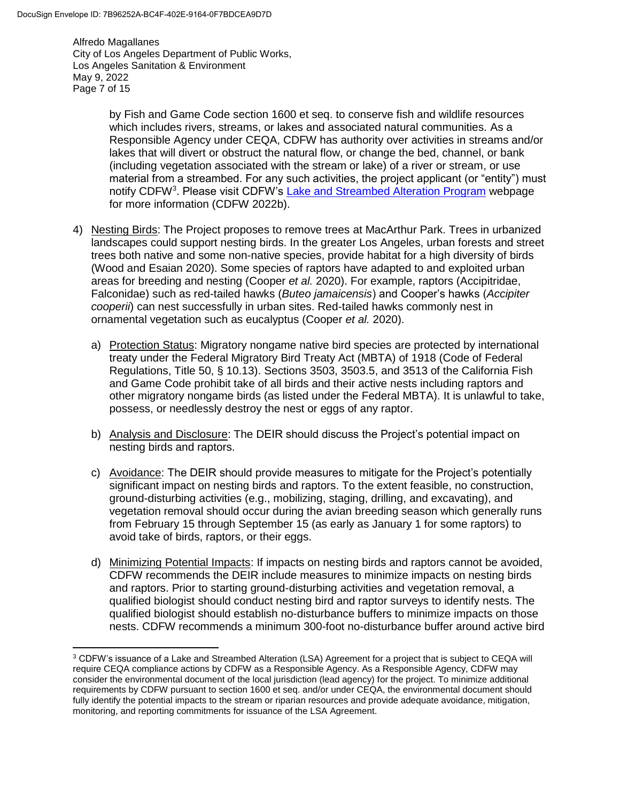$\overline{\phantom{a}}$ 

Alfredo Magallanes City of Los Angeles Department of Public Works, Los Angeles Sanitation & Environment May 9, 2022 Page 7 of 15

> by Fish and Game Code section 1600 et seq. to conserve fish and wildlife resources which includes rivers, streams, or lakes and associated natural communities. As a Responsible Agency under CEQA, CDFW has authority over activities in streams and/or lakes that will divert or obstruct the natural flow, or change the bed, channel, or bank (including vegetation associated with the stream or lake) of a river or stream, or use material from a streambed. For any such activities, the project applicant (or "entity") must notify CDFW<sup>3</sup>. Please visit CDFW's [Lake and Streambed Alteration Program](https://wildlife.ca.gov/Conservation/LSA) webpage for more information (CDFW 2022b).

- 4) Nesting Birds: The Project proposes to remove trees at MacArthur Park. Trees in urbanized landscapes could support nesting birds. In the greater Los Angeles, urban forests and street trees both native and some non-native species, provide habitat for a high diversity of birds (Wood and Esaian 2020). Some species of raptors have adapted to and exploited urban areas for breeding and nesting (Cooper *et al.* 2020). For example, raptors (Accipitridae, Falconidae) such as red-tailed hawks (*Buteo jamaicensis*) and Cooper's hawks (*Accipiter cooperii*) can nest successfully in urban sites. Red-tailed hawks commonly nest in ornamental vegetation such as eucalyptus (Cooper *et al.* 2020).
	- a) Protection Status: Migratory nongame native bird species are protected by international treaty under the Federal Migratory Bird Treaty Act (MBTA) of 1918 (Code of Federal Regulations, Title 50, § 10.13). Sections 3503, 3503.5, and 3513 of the California Fish and Game Code prohibit take of all birds and their active nests including raptors and other migratory nongame birds (as listed under the Federal MBTA). It is unlawful to take, possess, or needlessly destroy the nest or eggs of any raptor.
	- b) Analysis and Disclosure: The DEIR should discuss the Project's potential impact on nesting birds and raptors.
	- c) Avoidance: The DEIR should provide measures to mitigate for the Project's potentially significant impact on nesting birds and raptors. To the extent feasible, no construction, ground-disturbing activities (e.g., mobilizing, staging, drilling, and excavating), and vegetation removal should occur during the avian breeding season which generally runs from February 15 through September 15 (as early as January 1 for some raptors) to avoid take of birds, raptors, or their eggs.
	- d) Minimizing Potential Impacts: If impacts on nesting birds and raptors cannot be avoided, CDFW recommends the DEIR include measures to minimize impacts on nesting birds and raptors. Prior to starting ground-disturbing activities and vegetation removal, a qualified biologist should conduct nesting bird and raptor surveys to identify nests. The qualified biologist should establish no-disturbance buffers to minimize impacts on those nests. CDFW recommends a minimum 300-foot no-disturbance buffer around active bird

<sup>3</sup> CDFW's issuance of a Lake and Streambed Alteration (LSA) Agreement for a project that is subject to CEQA will require CEQA compliance actions by CDFW as a Responsible Agency. As a Responsible Agency, CDFW may consider the environmental document of the local jurisdiction (lead agency) for the project. To minimize additional requirements by CDFW pursuant to section 1600 et seq. and/or under CEQA, the environmental document should fully identify the potential impacts to the stream or riparian resources and provide adequate avoidance, mitigation, monitoring, and reporting commitments for issuance of the LSA Agreement.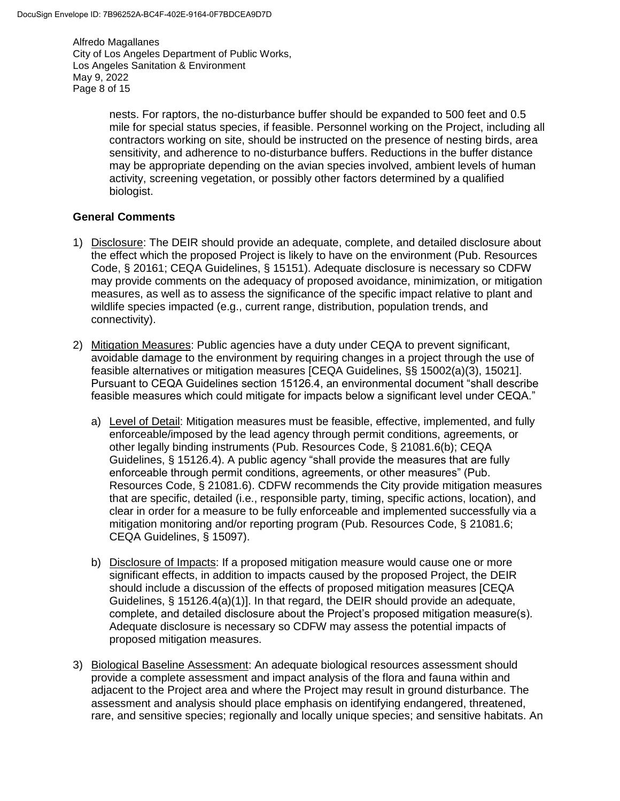Alfredo Magallanes City of Los Angeles Department of Public Works, Los Angeles Sanitation & Environment May 9, 2022 Page 8 of 15

> nests. For raptors, the no-disturbance buffer should be expanded to 500 feet and 0.5 mile for special status species, if feasible. Personnel working on the Project, including all contractors working on site, should be instructed on the presence of nesting birds, area sensitivity, and adherence to no-disturbance buffers. Reductions in the buffer distance may be appropriate depending on the avian species involved, ambient levels of human activity, screening vegetation, or possibly other factors determined by a qualified biologist.

#### **General Comments**

- 1) Disclosure: The DEIR should provide an adequate, complete, and detailed disclosure about the effect which the proposed Project is likely to have on the environment (Pub. Resources Code, § 20161; CEQA Guidelines, § 15151). Adequate disclosure is necessary so CDFW may provide comments on the adequacy of proposed avoidance, minimization, or mitigation measures, as well as to assess the significance of the specific impact relative to plant and wildlife species impacted (e.g., current range, distribution, population trends, and connectivity).
- 2) Mitigation Measures: Public agencies have a duty under CEQA to prevent significant, avoidable damage to the environment by requiring changes in a project through the use of feasible alternatives or mitigation measures [CEQA Guidelines, §§ 15002(a)(3), 15021]. Pursuant to CEQA Guidelines section 15126.4, an environmental document "shall describe feasible measures which could mitigate for impacts below a significant level under CEQA."
	- a) Level of Detail: Mitigation measures must be feasible, effective, implemented, and fully enforceable/imposed by the lead agency through permit conditions, agreements, or other legally binding instruments (Pub. Resources Code, § 21081.6(b); CEQA Guidelines, § 15126.4). A public agency "shall provide the measures that are fully enforceable through permit conditions, agreements, or other measures" (Pub. Resources Code, § 21081.6). CDFW recommends the City provide mitigation measures that are specific, detailed (i.e., responsible party, timing, specific actions, location), and clear in order for a measure to be fully enforceable and implemented successfully via a mitigation monitoring and/or reporting program (Pub. Resources Code, § 21081.6; CEQA Guidelines, § 15097).
	- b) Disclosure of Impacts: If a proposed mitigation measure would cause one or more significant effects, in addition to impacts caused by the proposed Project, the DEIR should include a discussion of the effects of proposed mitigation measures [CEQA Guidelines, § 15126.4(a)(1)]. In that regard, the DEIR should provide an adequate, complete, and detailed disclosure about the Project's proposed mitigation measure(s). Adequate disclosure is necessary so CDFW may assess the potential impacts of proposed mitigation measures.
- 3) Biological Baseline Assessment: An adequate biological resources assessment should provide a complete assessment and impact analysis of the flora and fauna within and adjacent to the Project area and where the Project may result in ground disturbance. The assessment and analysis should place emphasis on identifying endangered, threatened, rare, and sensitive species; regionally and locally unique species; and sensitive habitats. An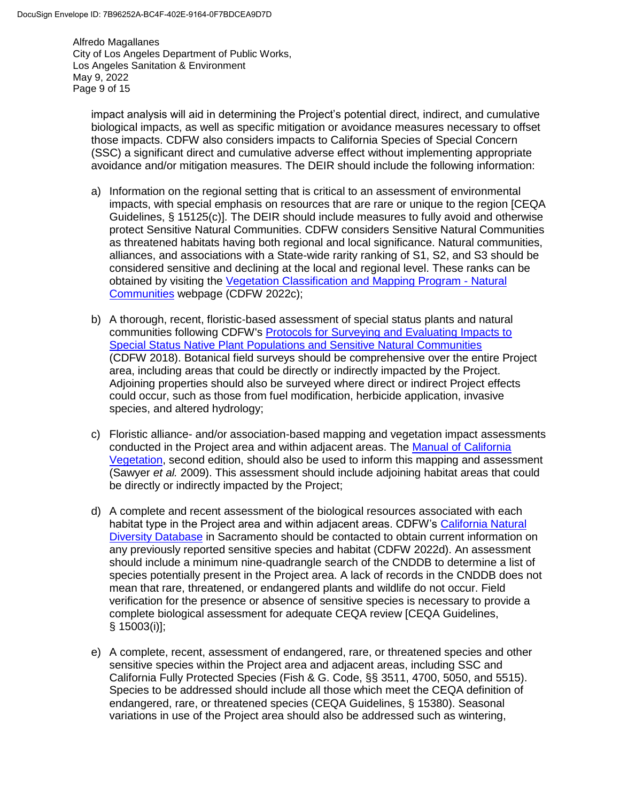Alfredo Magallanes City of Los Angeles Department of Public Works, Los Angeles Sanitation & Environment May 9, 2022 Page 9 of 15

impact analysis will aid in determining the Project's potential direct, indirect, and cumulative biological impacts, as well as specific mitigation or avoidance measures necessary to offset those impacts. CDFW also considers impacts to California Species of Special Concern (SSC) a significant direct and cumulative adverse effect without implementing appropriate avoidance and/or mitigation measures. The DEIR should include the following information:

- a) Information on the regional setting that is critical to an assessment of environmental impacts, with special emphasis on resources that are rare or unique to the region [CEQA Guidelines, § 15125(c)]. The DEIR should include measures to fully avoid and otherwise protect Sensitive Natural Communities. CDFW considers Sensitive Natural Communities as threatened habitats having both regional and local significance. Natural communities, alliances, and associations with a State-wide rarity ranking of S1, S2, and S3 should be considered sensitive and declining at the local and regional level. These ranks can be obtained by visiting the [Vegetation Classification and Mapping Program -](https://wildlife.ca.gov/Data/VegCAMP/Natural-Communities) Natural [Communities](https://wildlife.ca.gov/Data/VegCAMP/Natural-Communities) webpage (CDFW 2022c);
- b) A thorough, recent, floristic-based assessment of special status plants and natural communities following CDFW's [Protocols for Surveying and Evaluating Impacts to](https://nrm.dfg.ca.gov/FileHandler.ashx?DocumentID=18959&inline)  [Special Status Native Plant Populations and Sensitive Natural Communities](https://nrm.dfg.ca.gov/FileHandler.ashx?DocumentID=18959&inline) (CDFW 2018). Botanical field surveys should be comprehensive over the entire Project area, including areas that could be directly or indirectly impacted by the Project. Adjoining properties should also be surveyed where direct or indirect Project effects could occur, such as those from fuel modification, herbicide application, invasive species, and altered hydrology;
- c) Floristic alliance- and/or association-based mapping and vegetation impact assessments conducted in the Project area and within adjacent areas. The [Manual of California](http://vegetation.cnps.org/)  [Vegetation,](http://vegetation.cnps.org/) second edition, should also be used to inform this mapping and assessment (Sawyer *et al.* 2009). This assessment should include adjoining habitat areas that could be directly or indirectly impacted by the Project;
- d) A complete and recent assessment of the biological resources associated with each habitat type in the Project area and within adjacent areas. CDFW's [California Natural](https://wildlife.ca.gov/Data/CNDDB)  [Diversity Database](https://wildlife.ca.gov/Data/CNDDB) in Sacramento should be contacted to obtain current information on any previously reported sensitive species and habitat (CDFW 2022d). An assessment should include a minimum nine-quadrangle search of the CNDDB to determine a list of species potentially present in the Project area. A lack of records in the CNDDB does not mean that rare, threatened, or endangered plants and wildlife do not occur. Field verification for the presence or absence of sensitive species is necessary to provide a complete biological assessment for adequate CEQA review [CEQA Guidelines, § 15003(i)];
- e) A complete, recent, assessment of endangered, rare, or threatened species and other sensitive species within the Project area and adjacent areas, including SSC and California Fully Protected Species (Fish & G. Code, §§ 3511, 4700, 5050, and 5515). Species to be addressed should include all those which meet the CEQA definition of endangered, rare, or threatened species (CEQA Guidelines, § 15380). Seasonal variations in use of the Project area should also be addressed such as wintering,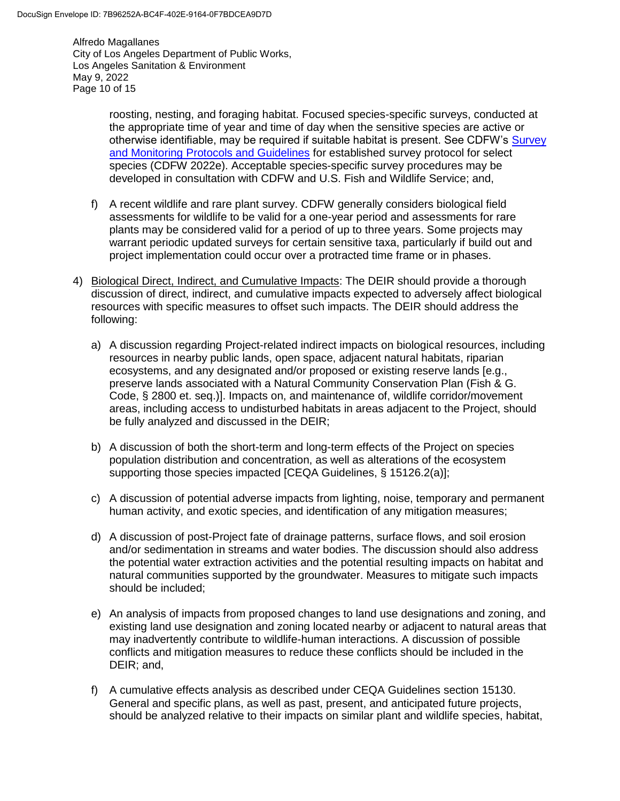Alfredo Magallanes City of Los Angeles Department of Public Works, Los Angeles Sanitation & Environment May 9, 2022 Page 10 of 15

> roosting, nesting, and foraging habitat. Focused species-specific surveys, conducted at the appropriate time of year and time of day when the sensitive species are active or otherwise identifiable, may be required if suitable habitat is present. See CDFW's Survey [and Monitoring Protocols and Guidelines](https://wildlife.ca.gov/conservation/survey-protocols) for established survey protocol for select species (CDFW 2022e). Acceptable species-specific survey procedures may be developed in consultation with CDFW and U.S. Fish and Wildlife Service; and,

- f) A recent wildlife and rare plant survey. CDFW generally considers biological field assessments for wildlife to be valid for a one-year period and assessments for rare plants may be considered valid for a period of up to three years. Some projects may warrant periodic updated surveys for certain sensitive taxa, particularly if build out and project implementation could occur over a protracted time frame or in phases.
- 4) Biological Direct, Indirect, and Cumulative Impacts: The DEIR should provide a thorough discussion of direct, indirect, and cumulative impacts expected to adversely affect biological resources with specific measures to offset such impacts. The DEIR should address the following:
	- a) A discussion regarding Project-related indirect impacts on biological resources, including resources in nearby public lands, open space, adjacent natural habitats, riparian ecosystems, and any designated and/or proposed or existing reserve lands [e.g., preserve lands associated with a Natural Community Conservation Plan (Fish & G. Code, § 2800 et. seq.)]. Impacts on, and maintenance of, wildlife corridor/movement areas, including access to undisturbed habitats in areas adjacent to the Project, should be fully analyzed and discussed in the DEIR;
	- b) A discussion of both the short-term and long-term effects of the Project on species population distribution and concentration, as well as alterations of the ecosystem supporting those species impacted [CEQA Guidelines, § 15126.2(a)];
	- c) A discussion of potential adverse impacts from lighting, noise, temporary and permanent human activity, and exotic species, and identification of any mitigation measures;
	- d) A discussion of post-Project fate of drainage patterns, surface flows, and soil erosion and/or sedimentation in streams and water bodies. The discussion should also address the potential water extraction activities and the potential resulting impacts on habitat and natural communities supported by the groundwater. Measures to mitigate such impacts should be included;
	- e) An analysis of impacts from proposed changes to land use designations and zoning, and existing land use designation and zoning located nearby or adjacent to natural areas that may inadvertently contribute to wildlife-human interactions. A discussion of possible conflicts and mitigation measures to reduce these conflicts should be included in the DEIR; and,
	- f) A cumulative effects analysis as described under CEQA Guidelines section 15130. General and specific plans, as well as past, present, and anticipated future projects, should be analyzed relative to their impacts on similar plant and wildlife species, habitat,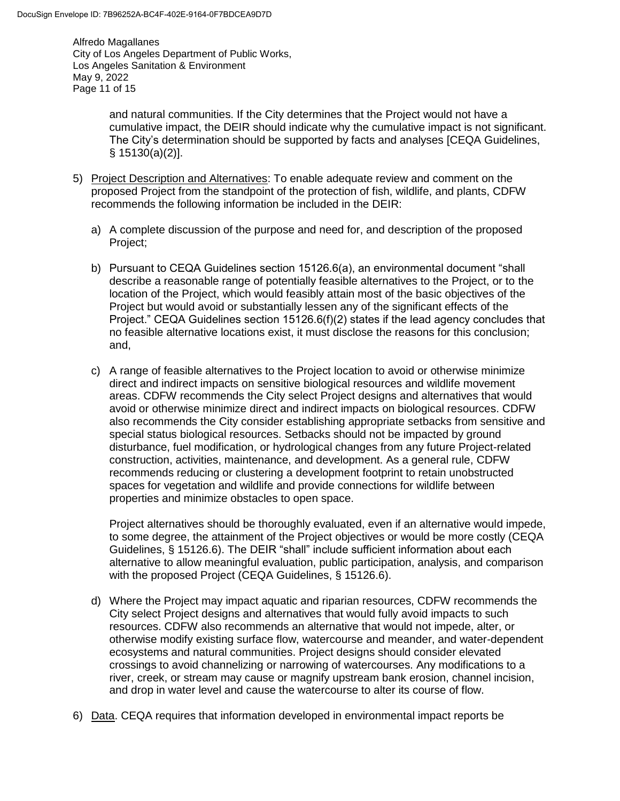Alfredo Magallanes City of Los Angeles Department of Public Works, Los Angeles Sanitation & Environment May 9, 2022 Page 11 of 15

> and natural communities. If the City determines that the Project would not have a cumulative impact, the DEIR should indicate why the cumulative impact is not significant. The City's determination should be supported by facts and analyses [CEQA Guidelines, § 15130(a)(2)].

- 5) Project Description and Alternatives: To enable adequate review and comment on the proposed Project from the standpoint of the protection of fish, wildlife, and plants, CDFW recommends the following information be included in the DEIR:
	- a) A complete discussion of the purpose and need for, and description of the proposed Project;
	- b) Pursuant to CEQA Guidelines section 15126.6(a), an environmental document "shall describe a reasonable range of potentially feasible alternatives to the Project, or to the location of the Project, which would feasibly attain most of the basic objectives of the Project but would avoid or substantially lessen any of the significant effects of the Project." CEQA Guidelines section 15126.6(f)(2) states if the lead agency concludes that no feasible alternative locations exist, it must disclose the reasons for this conclusion; and,
	- c) A range of feasible alternatives to the Project location to avoid or otherwise minimize direct and indirect impacts on sensitive biological resources and wildlife movement areas. CDFW recommends the City select Project designs and alternatives that would avoid or otherwise minimize direct and indirect impacts on biological resources. CDFW also recommends the City consider establishing appropriate setbacks from sensitive and special status biological resources. Setbacks should not be impacted by ground disturbance, fuel modification, or hydrological changes from any future Project-related construction, activities, maintenance, and development. As a general rule, CDFW recommends reducing or clustering a development footprint to retain unobstructed spaces for vegetation and wildlife and provide connections for wildlife between properties and minimize obstacles to open space.

Project alternatives should be thoroughly evaluated, even if an alternative would impede, to some degree, the attainment of the Project objectives or would be more costly (CEQA Guidelines, § 15126.6). The DEIR "shall" include sufficient information about each alternative to allow meaningful evaluation, public participation, analysis, and comparison with the proposed Project (CEQA Guidelines, § 15126.6).

- d) Where the Project may impact aquatic and riparian resources, CDFW recommends the City select Project designs and alternatives that would fully avoid impacts to such resources. CDFW also recommends an alternative that would not impede, alter, or otherwise modify existing surface flow, watercourse and meander, and water-dependent ecosystems and natural communities. Project designs should consider elevated crossings to avoid channelizing or narrowing of watercourses. Any modifications to a river, creek, or stream may cause or magnify upstream bank erosion, channel incision, and drop in water level and cause the watercourse to alter its course of flow.
- 6) Data. CEQA requires that information developed in environmental impact reports be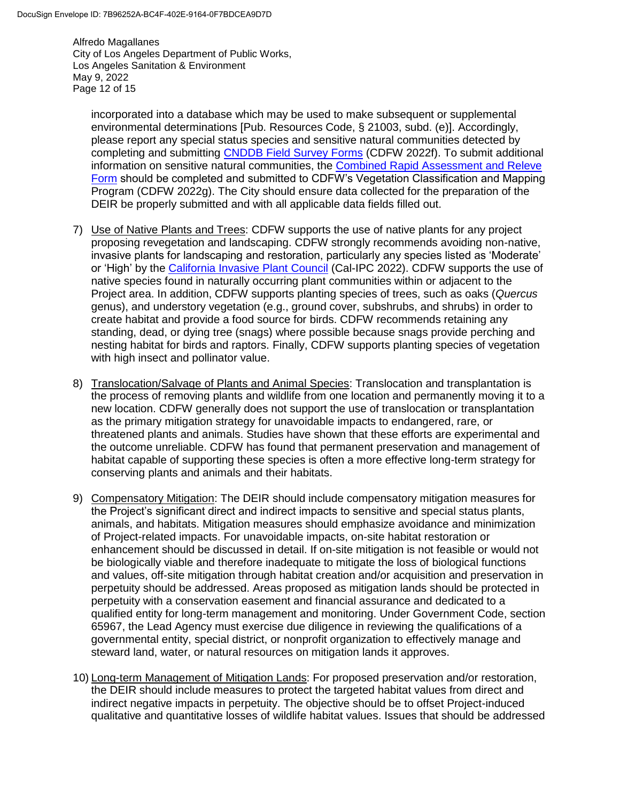Alfredo Magallanes City of Los Angeles Department of Public Works, Los Angeles Sanitation & Environment May 9, 2022 Page 12 of 15

incorporated into a database which may be used to make subsequent or supplemental environmental determinations [Pub. Resources Code, § 21003, subd. (e)]. Accordingly, please report any special status species and sensitive natural communities detected by completing and submitting [CNDDB Field Survey Forms](https://wildlife.ca.gov/Data/CNDDB/Submitting-Data) (CDFW 2022f). To submit additional information on sensitive natural communities, the [Combined Rapid Assessment and Releve](https://wildlife.ca.gov/Data/VegCAMP/Natural-Communities/Submit)  [Form](https://wildlife.ca.gov/Data/VegCAMP/Natural-Communities/Submit) should be completed and submitted to CDFW's Vegetation Classification and Mapping Program (CDFW 2022g). The City should ensure data collected for the preparation of the DEIR be properly submitted and with all applicable data fields filled out.

- 7) Use of Native Plants and Trees: CDFW supports the use of native plants for any project proposing revegetation and landscaping. CDFW strongly recommends avoiding non-native, invasive plants for landscaping and restoration, particularly any species listed as 'Moderate' or 'High' by the [California Invasive Plant Council](https://www.cal-ipc.org/plants/inventory/) (Cal-IPC 2022). CDFW supports the use of native species found in naturally occurring plant communities within or adjacent to the Project area. In addition, CDFW supports planting species of trees, such as oaks (*Quercus*  genus), and understory vegetation (e.g., ground cover, subshrubs, and shrubs) in order to create habitat and provide a food source for birds. CDFW recommends retaining any standing, dead, or dying tree (snags) where possible because snags provide perching and nesting habitat for birds and raptors. Finally, CDFW supports planting species of vegetation with high insect and pollinator value.
- 8) Translocation/Salvage of Plants and Animal Species: Translocation and transplantation is the process of removing plants and wildlife from one location and permanently moving it to a new location. CDFW generally does not support the use of translocation or transplantation as the primary mitigation strategy for unavoidable impacts to endangered, rare, or threatened plants and animals. Studies have shown that these efforts are experimental and the outcome unreliable. CDFW has found that permanent preservation and management of habitat capable of supporting these species is often a more effective long-term strategy for conserving plants and animals and their habitats.
- 9) Compensatory Mitigation: The DEIR should include compensatory mitigation measures for the Project's significant direct and indirect impacts to sensitive and special status plants, animals, and habitats. Mitigation measures should emphasize avoidance and minimization of Project-related impacts. For unavoidable impacts, on-site habitat restoration or enhancement should be discussed in detail. If on-site mitigation is not feasible or would not be biologically viable and therefore inadequate to mitigate the loss of biological functions and values, off-site mitigation through habitat creation and/or acquisition and preservation in perpetuity should be addressed. Areas proposed as mitigation lands should be protected in perpetuity with a conservation easement and financial assurance and dedicated to a qualified entity for long-term management and monitoring. Under Government Code, section 65967, the Lead Agency must exercise due diligence in reviewing the qualifications of a governmental entity, special district, or nonprofit organization to effectively manage and steward land, water, or natural resources on mitigation lands it approves.
- 10) Long-term Management of Mitigation Lands: For proposed preservation and/or restoration, the DEIR should include measures to protect the targeted habitat values from direct and indirect negative impacts in perpetuity. The objective should be to offset Project-induced qualitative and quantitative losses of wildlife habitat values. Issues that should be addressed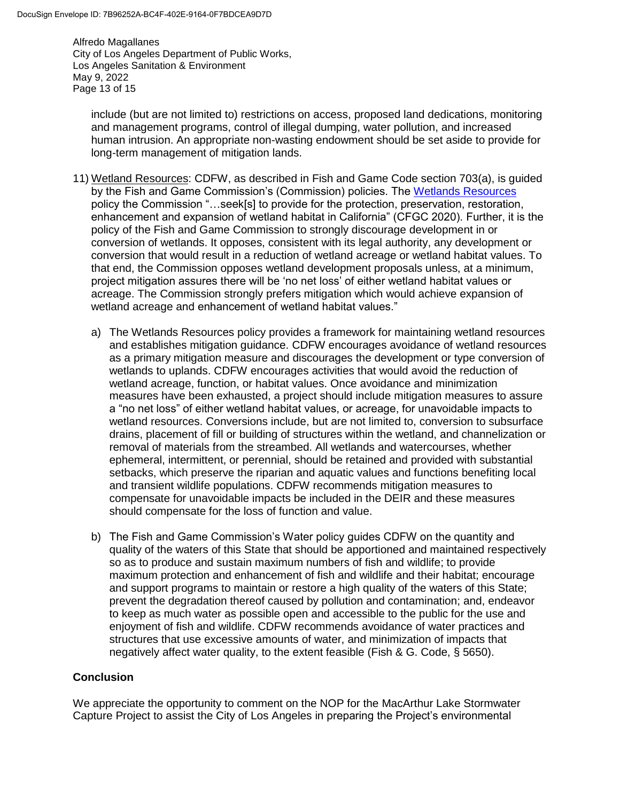Alfredo Magallanes City of Los Angeles Department of Public Works, Los Angeles Sanitation & Environment May 9, 2022 Page 13 of 15

include (but are not limited to) restrictions on access, proposed land dedications, monitoring and management programs, control of illegal dumping, water pollution, and increased human intrusion. An appropriate non-wasting endowment should be set aside to provide for long-term management of mitigation lands.

- 11) Wetland Resources: CDFW, as described in Fish and Game Code section 703(a), is guided by the Fish and Game Commission's (Commission) policies. The [Wetlands Resources](https://fgc.ca.gov/About/Policies/Miscellaneous) policy the Commission "…seek[s] to provide for the protection, preservation, restoration, enhancement and expansion of wetland habitat in California" (CFGC 2020). Further, it is the policy of the Fish and Game Commission to strongly discourage development in or conversion of wetlands. It opposes, consistent with its legal authority, any development or conversion that would result in a reduction of wetland acreage or wetland habitat values. To that end, the Commission opposes wetland development proposals unless, at a minimum, project mitigation assures there will be 'no net loss' of either wetland habitat values or acreage. The Commission strongly prefers mitigation which would achieve expansion of wetland acreage and enhancement of wetland habitat values."
	- a) The Wetlands Resources policy provides a framework for maintaining wetland resources and establishes mitigation guidance. CDFW encourages avoidance of wetland resources as a primary mitigation measure and discourages the development or type conversion of wetlands to uplands. CDFW encourages activities that would avoid the reduction of wetland acreage, function, or habitat values. Once avoidance and minimization measures have been exhausted, a project should include mitigation measures to assure a "no net loss" of either wetland habitat values, or acreage, for unavoidable impacts to wetland resources. Conversions include, but are not limited to, conversion to subsurface drains, placement of fill or building of structures within the wetland, and channelization or removal of materials from the streambed. All wetlands and watercourses, whether ephemeral, intermittent, or perennial, should be retained and provided with substantial setbacks, which preserve the riparian and aquatic values and functions benefiting local and transient wildlife populations. CDFW recommends mitigation measures to compensate for unavoidable impacts be included in the DEIR and these measures should compensate for the loss of function and value.
	- b) The Fish and Game Commission's Water policy guides CDFW on the quantity and quality of the waters of this State that should be apportioned and maintained respectively so as to produce and sustain maximum numbers of fish and wildlife; to provide maximum protection and enhancement of fish and wildlife and their habitat; encourage and support programs to maintain or restore a high quality of the waters of this State; prevent the degradation thereof caused by pollution and contamination; and, endeavor to keep as much water as possible open and accessible to the public for the use and enjoyment of fish and wildlife. CDFW recommends avoidance of water practices and structures that use excessive amounts of water, and minimization of impacts that negatively affect water quality, to the extent feasible (Fish & G. Code, § 5650).

## **Conclusion**

We appreciate the opportunity to comment on the NOP for the MacArthur Lake Stormwater Capture Project to assist the City of Los Angeles in preparing the Project's environmental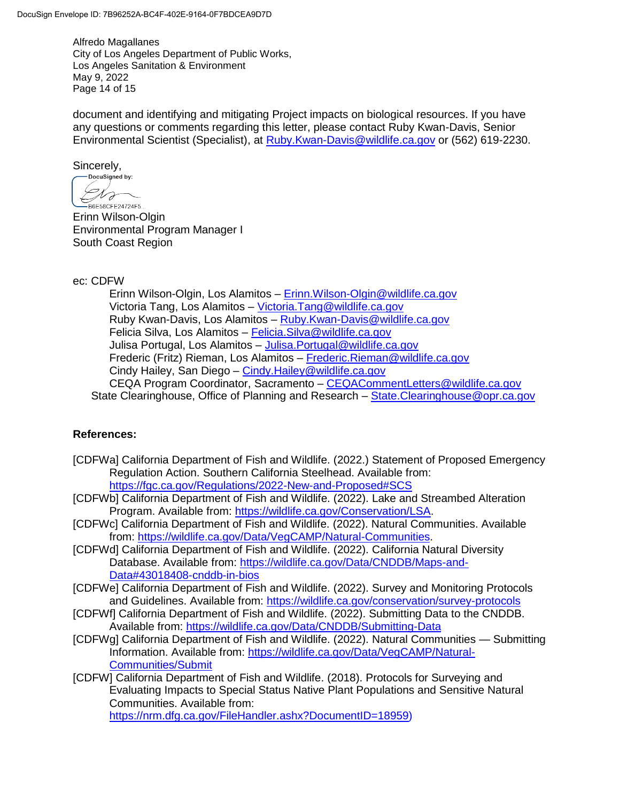Alfredo Magallanes City of Los Angeles Department of Public Works, Los Angeles Sanitation & Environment May 9, 2022 Page 14 of 15

document and identifying and mitigating Project impacts on biological resources. If you have any questions or comments regarding this letter, please contact Ruby Kwan-Davis, Senior Environmental Scientist (Specialist), at [Ruby.Kwan-Davis@wildlife.ca.gov](mailto:Ruby.Kwan-Davis@wildlife.ca.gov) or (562) 619-2230.

 $Sincerely,$ <br>  $Docusigned by:$ 

 $Ch_{\sigma}$ -<br>B6E58CFE24724F5..

Erinn Wilson-Olgin Environmental Program Manager I South Coast Region

ec: CDFW

Erinn Wilson-Olgin, Los Alamitos – [Erinn.Wilson-Olgin@wildlife.ca.gov](mailto:Erinn.Wilson-Olgin@wildlife.ca.gov) Victoria Tang, Los Alamitos – [Victoria.Tang@wildlife.ca.gov](mailto:Victoria.Tang@wildlife.ca.gov) Ruby Kwan-Davis, Los Alamitos – [Ruby.Kwan-Davis@wildlife.ca.gov](mailto:Ruby.Kwan-Davis@wildlife.ca.gov) Felicia Silva, Los Alamitos - Felicia. Silva@wildlife.ca.gov Julisa Portugal, Los Alamitos – [Julisa.Portugal@wildlife.ca.gov](mailto:Julisa.Portugal@wildlife.ca.gov) Frederic (Fritz) Rieman, Los Alamitos – [Frederic.Rieman@wildlife.ca.gov](mailto:Frederic.Rieman@wildlife.ca.gov) Cindy Hailey, San Diego – [Cindy.Hailey@wildlife.ca.gov](mailto:Cindy.Hailey@wildlife.ca.gov) CEQA Program Coordinator, Sacramento – [CEQACommentLetters@wildlife.ca.gov](mailto:CEQACommentLetters@wildlife.ca.gov)  State Clearinghouse, Office of Planning and Research – State. Clearinghouse @opr.ca.gov

## **References:**

- [CDFWa] California Department of Fish and Wildlife. (2022.) Statement of Proposed Emergency Regulation Action. Southern California Steelhead. Available from: <https://fgc.ca.gov/Regulations/2022-New-and-Proposed#SCS>
- [CDFWb] California Department of Fish and Wildlife. (2022). Lake and Streambed Alteration Program. Available from: [https://wildlife.ca.gov/Conservation/LSA.](https://wildlife.ca.gov/Conservation/LSA)
- [CDFWc] California Department of Fish and Wildlife. (2022). Natural Communities. Available from: [https://wildlife.ca.gov/Data/VegCAMP/Natural-Communities.](https://wildlife.ca.gov/Data/VegCAMP/Natural-Communities)
- [CDFWd] California Department of Fish and Wildlife. (2022). California Natural Diversity Database. Available from: [https://wildlife.ca.gov/Data/CNDDB/Maps-and-](https://wildlife.ca.gov/Data/CNDDB/Maps-and-Data#43018408-cnddb-in-bios)[Data#43018408-cnddb-in-bios](https://wildlife.ca.gov/Data/CNDDB/Maps-and-Data#43018408-cnddb-in-bios)
- [CDFWe] California Department of Fish and Wildlife. (2022). Survey and Monitoring Protocols and Guidelines. Available from: https://wildlife.ca.gov/conservation/survey-protocols
- [CDFWf] California Department of Fish and Wildlife. (2022). Submitting Data to the CNDDB. Available from:<https://wildlife.ca.gov/Data/CNDDB/Submitting-Data>
- [CDFWg] California Department of Fish and Wildlife. (2022). Natural Communities Submitting Information. Available from: [https://wildlife.ca.gov/Data/VegCAMP/Natural-](https://wildlife.ca.gov/Data/VegCAMP/Natural-Communities/Submit)[Communities/Submit](https://wildlife.ca.gov/Data/VegCAMP/Natural-Communities/Submit)
- [CDFW] California Department of Fish and Wildlife. (2018). Protocols for Surveying and Evaluating Impacts to Special Status Native Plant Populations and Sensitive Natural Communities. Available from:

[https://nrm.dfg.ca.gov/FileHandler.ashx?DocumentID=18959\)](https://nrm.dfg.ca.gov/FileHandler.ashx?DocumentID=18959)